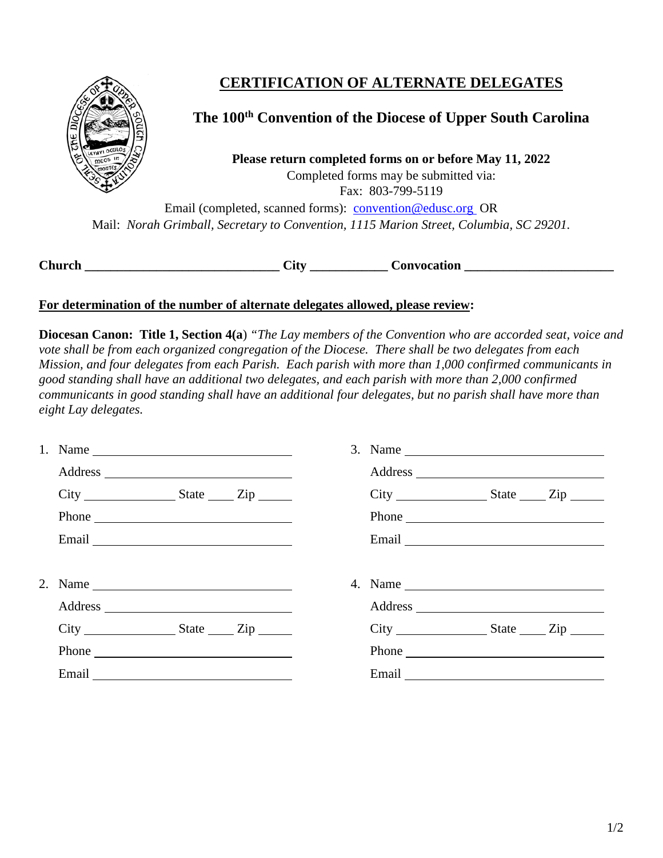

# **CERTIFICATION OF ALTERNATE DELEGATES**

### **The 100th Convention of the Diocese of Upper South Carolina**

**Please return completed forms on or before May 11, 2022** Completed forms may be submitted via: Fax: 803-799-5119

Email (completed, scanned forms): [convention@edusc.org](mailto:convention@edusc.org) OR Mail: *Norah Grimball, Secretary to Convention, 1115 Marion Street, Columbia, SC 29201.*

**Church \_\_\_\_\_\_\_\_\_\_\_\_\_\_\_\_\_\_\_\_\_\_\_\_\_\_\_\_\_\_ City \_\_\_\_\_\_\_\_\_\_\_\_ Convocation \_\_\_\_\_\_\_\_\_\_\_\_\_\_\_\_\_\_\_\_\_\_\_**

#### **For determination of the number of alternate delegates allowed, please review:**

**Diocesan Canon: Title 1, Section 4(a**) *"The Lay members of the Convention who are accorded seat, voice and vote shall be from each organized congregation of the Diocese. There shall be two delegates from each Mission, and four delegates from each Parish. Each parish with more than 1,000 confirmed communicants in good standing shall have an additional two delegates, and each parish with more than 2,000 confirmed communicants in good standing shall have an additional four delegates, but no parish shall have more than eight Lay delegates.* 

|                             | 3. Name $\qquad \qquad$ |                                                                                                                                                                                                                                |  |
|-----------------------------|-------------------------|--------------------------------------------------------------------------------------------------------------------------------------------------------------------------------------------------------------------------------|--|
|                             |                         |                                                                                                                                                                                                                                |  |
| $City$ $State$ $Zip$ $Line$ |                         | $City$ $State$ $Zip$ $Line$                                                                                                                                                                                                    |  |
| Phone                       |                         | Phone                                                                                                                                                                                                                          |  |
|                             |                         | Email experience and the second service of the service of the service of the service of the service of the service of the service of the service of the service of the service of the service of the service of the service of |  |
|                             |                         |                                                                                                                                                                                                                                |  |
|                             |                         |                                                                                                                                                                                                                                |  |
|                             |                         |                                                                                                                                                                                                                                |  |
| $City$ $State$ $Zip$ $Line$ |                         | $City$ $State$ $Zip$                                                                                                                                                                                                           |  |
| Phone                       |                         | Phone                                                                                                                                                                                                                          |  |
| Email                       |                         | Email Property and Property and Property and Property and Property and Property and Property and Property and Property and Property and Property and Property and Property and Property and Property and Property and Property |  |